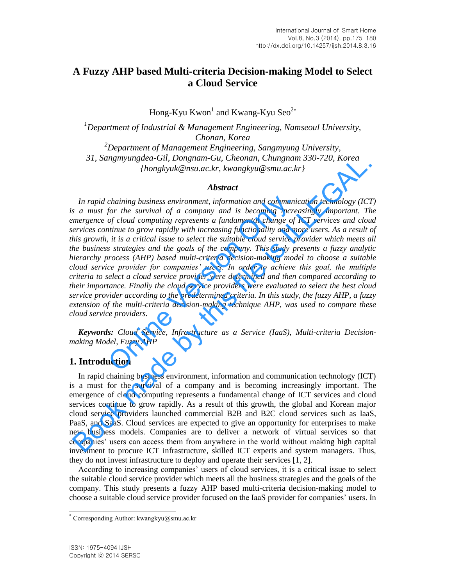# **A Fuzzy AHP based Multi-criteria Decision-making Model to Select a Cloud Service**

Hong-Kyu  $K$ won $^1$  and  $K$ wang-Kyu Seo $^{2*}$ 

*<sup>1</sup>Department of Industrial & Management Engineering, Namseoul University, Chonan, Korea <sup>2</sup>Department of Management Engineering, Sangmyung University, 31, Sangmyungdea-Gil, Dongnam-Gu, Cheonan, Chungnam 330-720, Korea {hongkyuk@nsu.ac.kr, kwangkyu@smu.ac.kr}* 

#### *Abstract*

*In rapid chaining business environment, information and communication technology (ICT) is a must for the survival of a company and is becoming increasingly important. The emergence of cloud computing represents a fundamental change of ICT services and cloud services continue to grow rapidly with increasing functionality and more users. As a result of this growth, it is a critical issue to select the suitable cloud service provider which meets all the business strategies and the goals of the company. This study presents a fuzzy analytic hierarchy process (AHP) based multi-criteria decision-making model to choose a suitable cloud service provider for companies' users. In order to achieve this goal, the multiple criteria to select a cloud service provider were determined and then compared according to their importance. Finally the cloud service providers were evaluated to select the best cloud service provider according to the predetermined criteria. In this study, the fuzzy AHP, a fuzzy extension of the multi-criteria decision-making technique AHP, was used to compare these cloud service providers.*  chaining business environment, information and communic<br>for the survival of a company and is becoming increase<br>of cloud computing represents a fundamental change of l<br>tinue to grow rapidly with increasing functionality and 31, Sangmyungdea-Gril, Domgnam-Gril, Chemann, Chumgnam 350-720, Korea<br>
[hongkyuk@nsu.ac.kr, kwangkyu@smu.ac.kr]<br>
In rapid chaining business environment, information and communication technology (ICT<br>
is a must for the sur

*Keywords: Cloud Service, Infrastructure as a Service (IaaS), Multi-criteria Decisionmaking Model, Fuzzy AHP* 

## **1. Introduction**

In rapid chaining business environment, information and communication technology (ICT) is a must for the survival of a company and is becoming increasingly important. The emergence of cloud computing represents a fundamental change of ICT services and cloud services continue to grow rapidly. As a result of this growth, the global and Korean major cloud service providers launched commercial B2B and B2C cloud services such as IaaS, PaaS, and SaaS. Cloud services are expected to give an opportunity for enterprises to make new business models. Companies are to deliver a network of virtual services so that companies' users can access them from anywhere in the world without making high capital investment to procure ICT infrastructure, skilled ICT experts and system managers. Thus, they do not invest infrastructure to deploy and operate their services [1, 2].

According to increasing companies' users of cloud services, it is a critical issue to select the suitable cloud service provider which meets all the business strategies and the goals of the company. This study presents a fuzzy AHP based multi-criteria decision-making model to choose a suitable cloud service provider focused on the IaaS provider for companies' users. In

l

<sup>\*</sup> Corresponding Author: kwangkyu@smu.ac.kr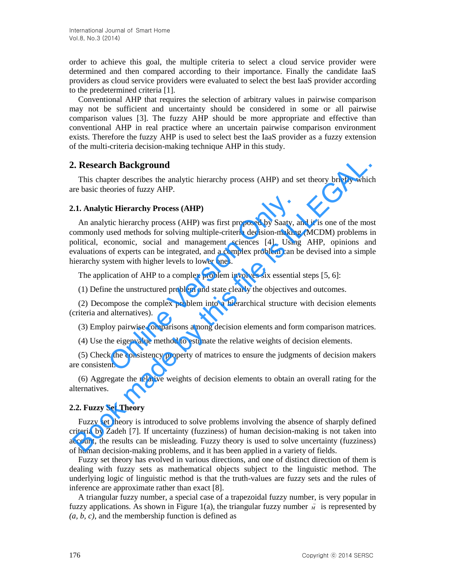order to achieve this goal, the multiple criteria to select a cloud service provider were determined and then compared according to their importance. Finally the candidate IaaS providers as cloud service providers were evaluated to select the best IaaS provider according to the predetermined criteria [1].

Conventional AHP that requires the selection of arbitrary values in pairwise comparison may not be sufficient and uncertainty should be considered in some or all pairwise comparison values [3]. The fuzzy AHP should be more appropriate and effective than conventional AHP in real practice where an uncertain pairwise comparison environment exists. Therefore the fuzzy AHP is used to select best the IaaS provider as a fuzzy extension of the multi-criteria decision-making technique AHP in this study.

# **2. Research Background**

This chapter describes the analytic hierarchy process (AHP) and set theory briefly which are basic theories of fuzzy AHP.

## **2.1. Analytic Hierarchy Process (AHP)**

An analytic hierarchy process (AHP) was first proposed by Saaty, and it is one of the most commonly used methods for solving multiple-criteria decision-making (MCDM) problems in political, economic, social and management sciences [4]. Using AHP, opinions and evaluations of experts can be integrated, and a complex problem can be devised into a simple hierarchy system with higher levels to lower ones. ic Hierarchy Process (AHP)<br>tic hierarchy process (AHP) was first proposed by Saaty, a<br>used methods for solving multiple-criteria decision-making<br>conomic, social and management sciences [4]. Using<br>of experts can be integrat **2. Research Background**<br>This chapter describes the analytic hierarchy process (AHP) and set theory briefly whic<br>re basic theories of fuzzy AHP.<br> **A.I. Analytic Hierarchy Process (AHP)**<br> **A.I. Analytic hierarchy process (** 

The application of AHP to a complex problem involves six essential steps [5, 6]:

(1) Define the unstructured problem and state clearly the objectives and outcomes.

(2) Decompose the complex problem into a hierarchical structure with decision elements (criteria and alternatives).

(3) Employ pairwise comparisons among decision elements and form comparison matrices.

(4) Use the eigenvalue method to estimate the relative weights of decision elements.

(5) Check the consistency property of matrices to ensure the judgments of decision makers are consistent.

(6) Aggregate the relative weights of decision elements to obtain an overall rating for the alternatives.

# **2.2. Fuzzy Set Theory**

Fuzzy set theory is introduced to solve problems involving the absence of sharply defined criteria by Zadeh [7]. If uncertainty (fuzziness) of human decision-making is not taken into account, the results can be misleading. Fuzzy theory is used to solve uncertainty (fuzziness) of human decision-making problems, and it has been applied in a variety of fields.

Fuzzy set theory has evolved in various directions, and one of distinct direction of them is dealing with fuzzy sets as mathematical objects subject to the linguistic method. The underlying logic of linguistic method is that the truth-values are fuzzy sets and the rules of inference are approximate rather than exact [8].

A triangular fuzzy number, a special case of a trapezoidal fuzzy number, is very popular in fuzzy applications. As shown in Figure 1(a), the triangular fuzzy number  $\tilde{M}$  is represented by *(a, b, c)*, and the membership function is defined as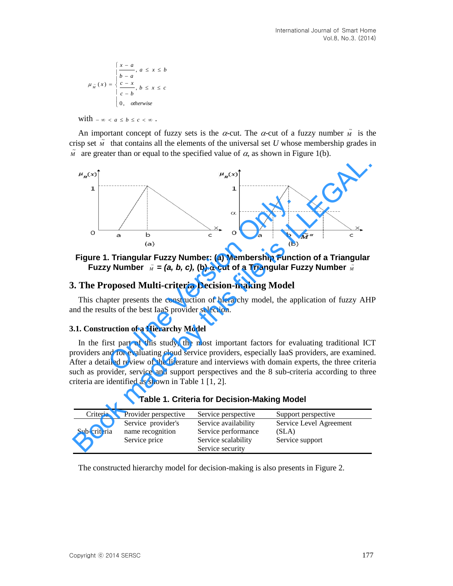$$
\mu_{\tilde{M}}(x) = \begin{cases}\n\frac{x-a}{b-a}, a \le x \le b \\
\frac{c-x}{c-b}, b \le x \le c \\
0, \quad \text{otherwise}\n\end{cases}
$$

with  $-\infty < a \leq b \leq c < \infty$ .

An important concept of fuzzy sets is the  $\alpha$ -cut. The  $\alpha$ -cut of a fuzzy number  $\tilde{M}$  is the crisp set  $\tilde{M}$  that contains all the elements of the universal set *U* whose membership grades in  $\tilde{M}$  are greater than or equal to the specified value of  $\alpha$ , as shown in Figure 1(b).



# **Figure 1. Triangular Fuzzy Number: (a) Membership Function of a Triangular**  Fuzzy Number  $\tilde{M} = (a, b, c),$  (b)  $\alpha$ -cut of a Triangular Fuzzy Number  $\tilde{M}$

## **3. The Proposed Multi-criteria Decision-making Model**

This chapter presents the construction of hierarchy model, the application of fuzzy AHP and the results of the best IaaS provider selection.

#### **3.1. Construction of a Hierarchy Model**

In the first part of this study, the most important factors for evaluating traditional ICT providers and for evaluating cloud service providers, especially IaaS providers, are examined. After a detailed review of the literature and interviews with domain experts, the three criteria such as provider, service and support perspectives and the 8 sub-criteria according to three criteria are identified as shown in Table 1 [1, 2].

| Criteria     | Provider perspective                                    | Service perspective                                                                    | Support perspective                                 |
|--------------|---------------------------------------------------------|----------------------------------------------------------------------------------------|-----------------------------------------------------|
| Sub-criteria | Service provider's<br>name recognition<br>Service price | Service availability<br>Service performance<br>Service scalability<br>Service security | Service Level Agreement<br>(SLA)<br>Service support |
|              |                                                         |                                                                                        |                                                     |

**Table 1. Criteria for Decision-Making Model** 

The constructed hierarchy model for decision-making is also presents in Figure 2.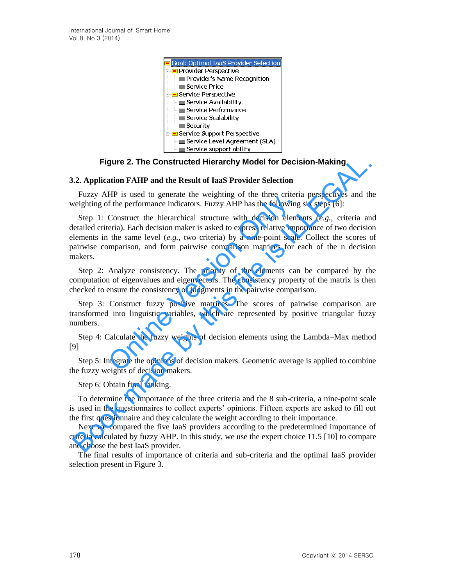

**Figure 2. The Constructed Hierarchy Model for Decision-Making** 

#### **3.2. Application FAHP and the Result of IaaS Provider Selection**

Fuzzy AHP is used to generate the weighting of the three criteria perspectives and the weighting of the performance indicators. Fuzzy AHP has the following six steps [6]:

Step 1: Construct the hierarchical structure with decision elements (*e.g.*, criteria and detailed criteria). Each decision maker is asked to express relative importance of two decision elements in the same level (*e.g.*, two criteria) by a nine-point scale. Collect the scores of pairwise comparison, and form pairwise comparison matrices for each of the n decision makers. In is used to generate the weighting of the three criteri<br>of the performance indicators. Fuzzy AHP has the following<br>Construct the hierarchical structure with decision elementa). Each decision maker is asked to express re Figure 2. The Constructed Hierarchy Model for Decision-Making<br>
1.2. Application FAHP and the Result of IaaS Provider Selection<br>
Fuzzy AHP is used to generate the weighting of the three criteria perspectives and the<br>
beigh

Step 2: Analyze consistency. The priority of the elements can be compared by the computation of eigenvalues and eigenvectors. The consistency property of the matrix is then checked to ensure the consistency of judgments in the pairwise comparison.

Step 3: Construct fuzzy positive matrices. The scores of pairwise comparison are transformed into linguistic variables, which are represented by positive triangular fuzzy numbers.

Step 4: Calculate the fuzzy weights of decision elements using the Lambda–Max method [9]

Step 5: Integrate the opinions of decision makers. Geometric average is applied to combine the fuzzy weights of decision makers.

Step 6: Obtain final ranking.

To determine the importance of the three criteria and the 8 sub-criteria, a nine-point scale is used in the questionnaires to collect experts' opinions. Fifteen experts are asked to fill out the first questionnaire and they calculate the weight according to their importance.

Next we compared the five IaaS providers according to the predetermined importance of criteria calculated by fuzzy AHP. In this study, we use the expert choice 11.5 [10] to compare and choose the best IaaS provider.

The final results of importance of criteria and sub-criteria and the optimal IaaS provider selection present in Figure 3.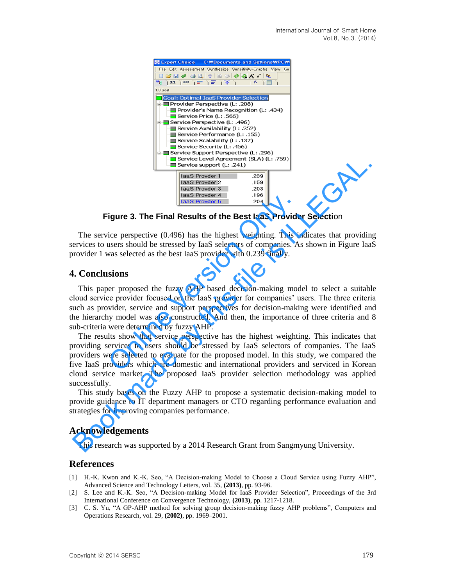

**Figure 3. The Final Results of the Best IaaS Provider Selecti**on

The service perspective (0.496) has the highest weighting. This indicates that providing services to users should be stressed by IaaS selectors of companies. As shown in Figure IaaS provider 1 was selected as the best IaaS provider with 0.239 finally.

## **4. Conclusions**

This paper proposed the fuzzy AHP based decision-making model to select a suitable cloud service provider focused on the IaaS provider for companies' users. The three criteria such as provider, service and support perspectives for decision-making were identified and the hierarchy model was also constructed. And then, the importance of three criteria and 8 sub-criteria were determined by fuzzy AHP. **Example 12 CONFTERT CONFORTMLET ASSES**<br> **Example 13. The Final Results of the Best laaS Provide**<br>
ice perspective (0.496) has the highest weighting. This is<br>
users should be stressed by IaaS selectors of companies. A<br>
w

The results show that service perspective has the highest weighting. This indicates that providing services to users should be stressed by IaaS selectors of companies. The IaaS providers were selected to evaluate for the proposed model. In this study, we compared the five IaaS providers which are domestic and international providers and serviced in Korean cloud service market. The proposed IaaS provider selection methodology was applied successfully. **Example 1**<br> **Example the Appendix Appendix (SLA) 0.1.759)**<br> **Example 12**<br> **Example 12**<br> **Example 12**<br> **Example 12**<br> **Example 12**<br> **Example 12**<br> **Example 12**<br> **Example 12**<br> **Example 12**<br> **Example 12**<br> **Example 12**<br> **Examp** 

This study bases on the Fuzzy AHP to propose a systematic decision-making model to provide guidance to IT department managers or CTO regarding performance evaluation and strategies for improving companies performance.

## **Acknowledgements**

This research was supported by a 2014 Research Grant from Sangmyung University.

## **References**

- [1] H.-K. Kwon and K.-K. Seo, "A Decision-making Model to Choose a Cloud Service using Fuzzy AHP", Advanced Science and Technology Letters, vol. 35, **(2013)**, pp. 93-96.
- [2] S. Lee and K.-K. Seo, "A Decision-making Model for IaaS Provider Selection", Proceedings of the 3rd International Conference on Convergence Technology, **(2013)**, pp. 1217-1218.
- [3] C. S. Yu, "A GP-AHP method for solving group decision-making fuzzy AHP problems", Computers and Operations Research, vol. 29, **(2002)**, pp. 1969–2001.